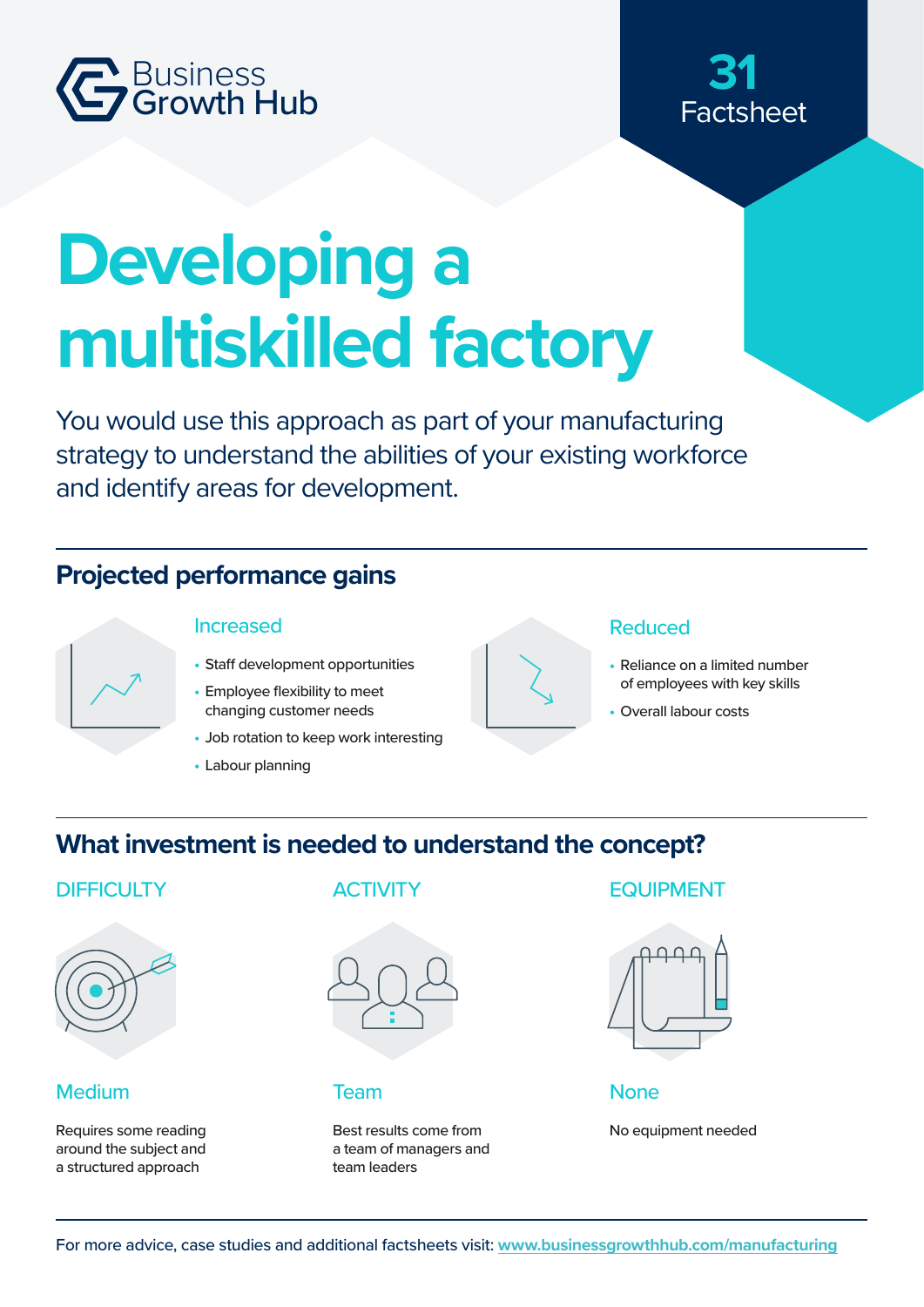

# Factsheet **31**

# **Developing a multiskilled factory**

You would use this approach as part of your manufacturing strategy to understand the abilities of your existing workforce and identify areas for development.

# **Projected performance gains**



- Staff development opportunities
- Employee flexibility to meet changing customer needs
- Job rotation to keep work interesting
- Labour planning



#### Increased Reduced

- Reliance on a limited number of employees with key skills
- **•** Overall labour costs

## **What investment is needed to understand the concept?**



#### Medium

Requires some reading around the subject and a structured approach



Best results come from a team of managers and team leaders

#### DIFFICULTY ACTIVITY EQUIPMENT



#### Team None

No equipment needed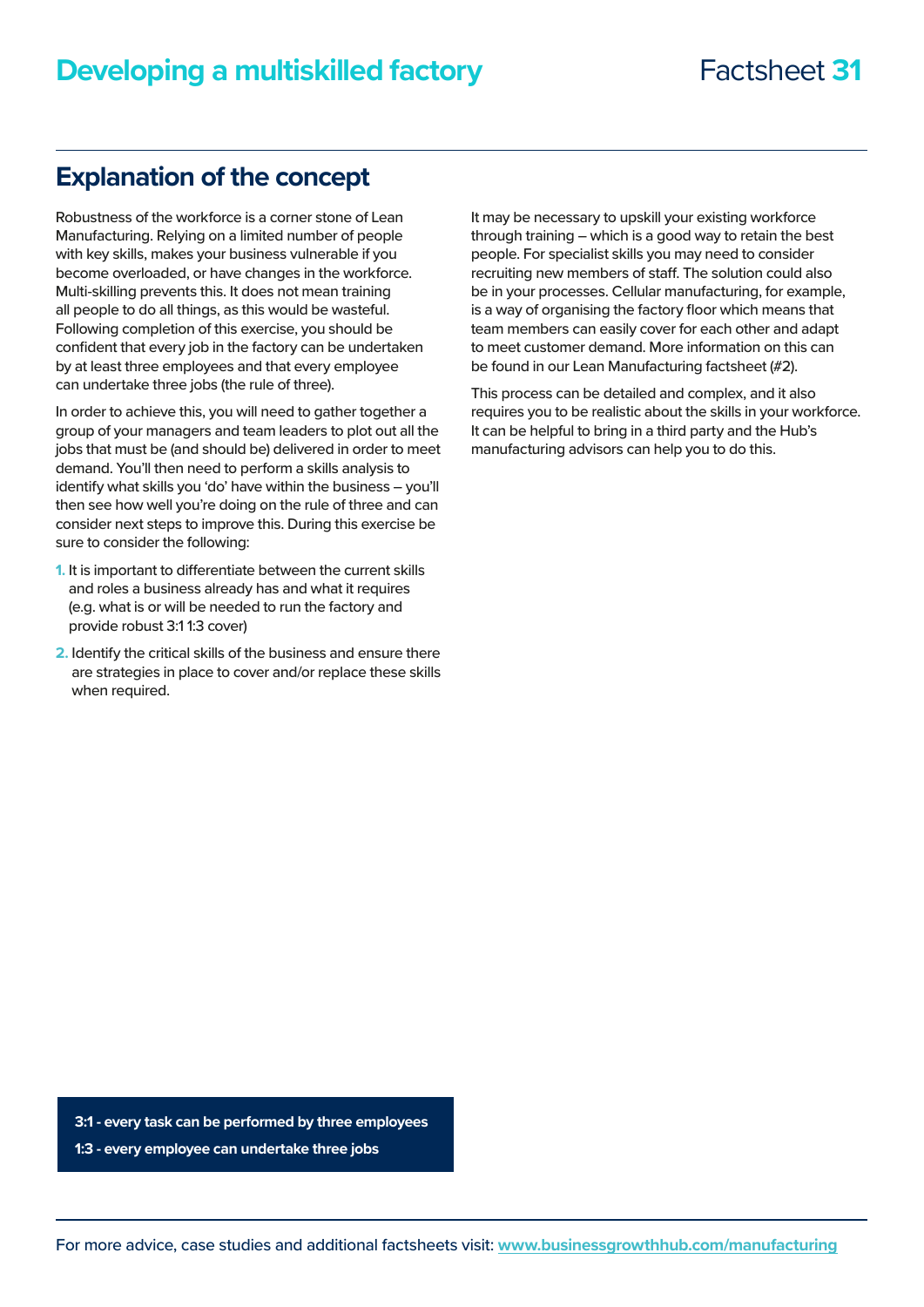### **Explanation of the concept**

Robustness of the workforce is a corner stone of Lean Manufacturing. Relying on a limited number of people with key skills, makes your business vulnerable if you become overloaded, or have changes in the workforce. Multi-skilling prevents this. It does not mean training all people to do all things, as this would be wasteful. Following completion of this exercise, you should be confident that every job in the factory can be undertaken by at least three employees and that every employee can undertake three jobs (the rule of three).

In order to achieve this, you will need to gather together a group of your managers and team leaders to plot out all the jobs that must be (and should be) delivered in order to meet demand. You'll then need to perform a skills analysis to identify what skills you 'do' have within the business – you'll then see how well you're doing on the rule of three and can consider next steps to improve this. During this exercise be sure to consider the following:

- **1.** It is important to differentiate between the current skills and roles a business already has and what it requires (e.g. what is or will be needed to run the factory and provide robust 3:1 1:3 cover)
- **2.** Identify the critical skills of the business and ensure there are strategies in place to cover and/or replace these skills when required.

It may be necessary to upskill your existing workforce through training – which is a good way to retain the best people. For specialist skills you may need to consider recruiting new members of staff. The solution could also be in your processes. Cellular manufacturing, for example, is a way of organising the factory floor which means that team members can easily cover for each other and adapt to meet customer demand. More information on this can be found in our Lean Manufacturing factsheet (#2).

This process can be detailed and complex, and it also requires you to be realistic about the skills in your workforce. It can be helpful to bring in a third party and the Hub's manufacturing advisors can help you to do this.

**3:1 - every task can be performed by three employees**

**1:3 - every employee can undertake three jobs**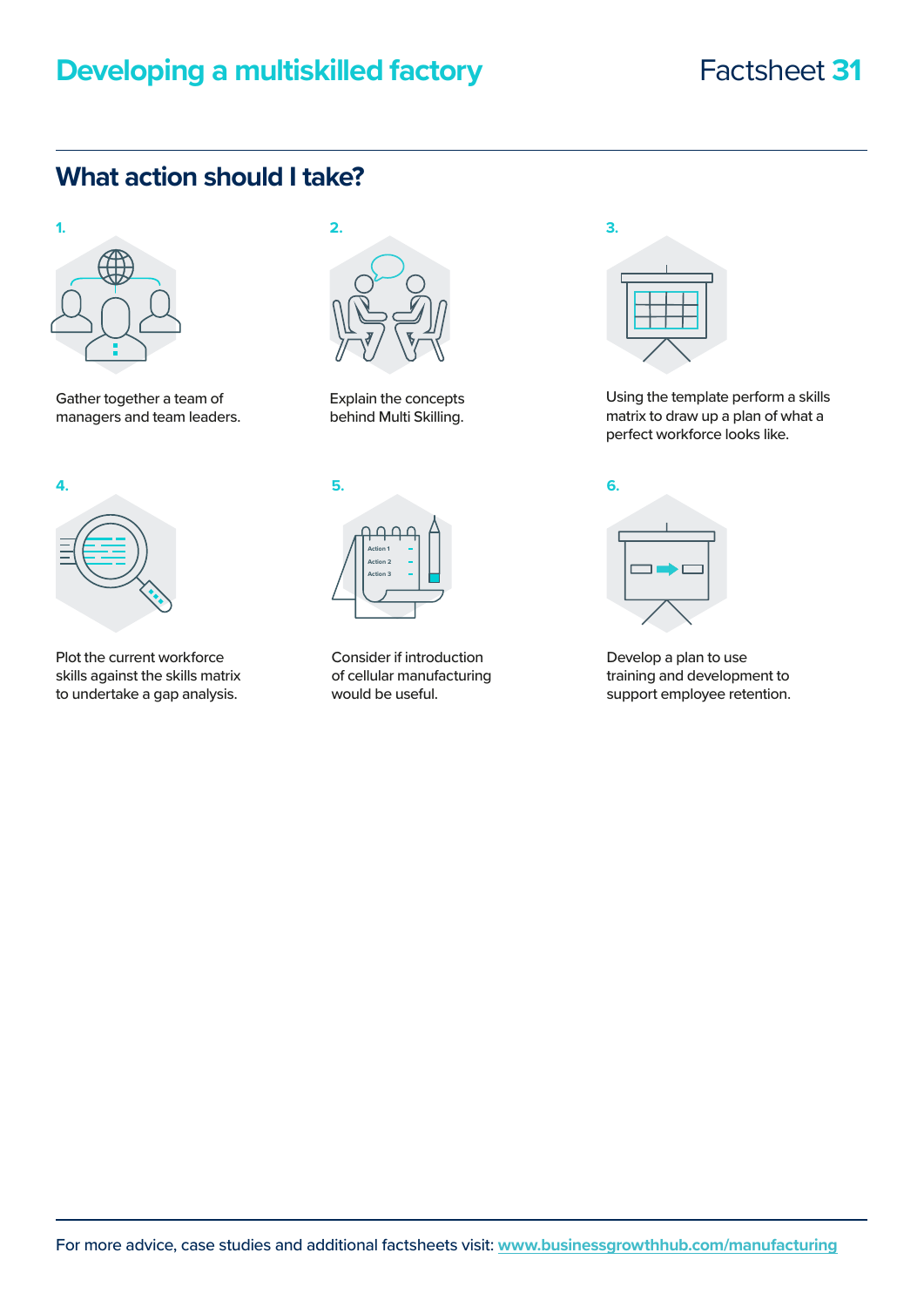# **Developing a multiskilled factory Factsheet 31**

## **What action should I take?**



Gather together a team of managers and team leaders.



Plot the current workforce skills against the skills matrix to undertake a gap analysis.



Explain the concepts behind Multi Skilling.



Consider if introduction of cellular manufacturing would be useful.



Using the template perform a skills matrix to draw up a plan of what a perfect workforce looks like.



Develop a plan to use training and development to support employee retention.